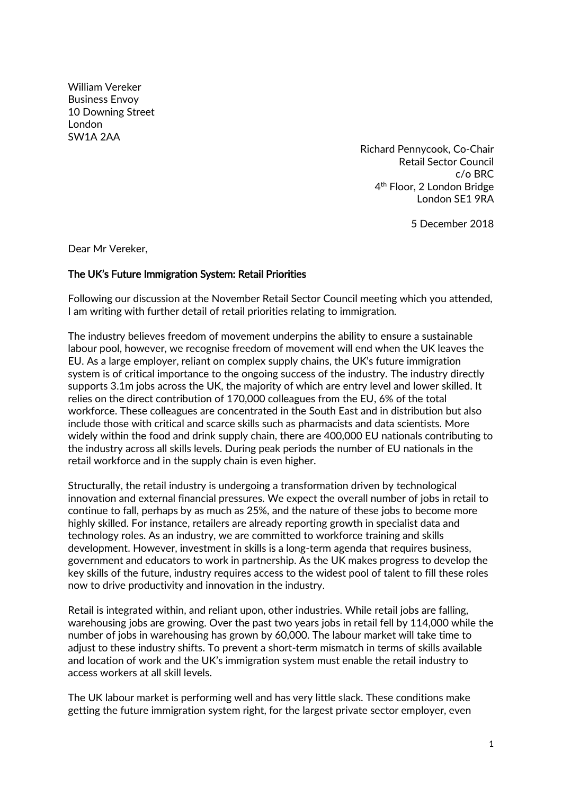William Vereker Business Envoy 10 Downing Street London SW1A 2AA

Richard Pennycook, Co-Chair Retail Sector Council c/o BRC 4<sup>th</sup> Floor, 2 London Bridge London SE1 9RA

5 December 2018

Dear Mr Vereker,

## The UK's Future Immigration System: Retail Priorities

Following our discussion at the November Retail Sector Council meeting which you attended, I am writing with further detail of retail priorities relating to immigration.

The industry believes freedom of movement underpins the ability to ensure a sustainable labour pool, however, we recognise freedom of movement will end when the UK leaves the EU. As a large employer, reliant on complex supply chains, the UK's future immigration system is of critical importance to the ongoing success of the industry. The industry directly supports 3.1m jobs across the UK, the majority of which are entry level and lower skilled. It relies on the direct contribution of 170,000 colleagues from the EU, 6% of the total workforce. These colleagues are concentrated in the South East and in distribution but also include those with critical and scarce skills such as pharmacists and data scientists. More widely within the food and drink supply chain, there are 400,000 EU nationals contributing to the industry across all skills levels. During peak periods the number of EU nationals in the retail workforce and in the supply chain is even higher.

Structurally, the retail industry is undergoing a transformation driven by technological innovation and external financial pressures. We expect the overall number of jobs in retail to continue to fall, perhaps by as much as 25%, and the nature of these jobs to become more highly skilled. For instance, retailers are already reporting growth in specialist data and technology roles. As an industry, we are committed to workforce training and skills development. However, investment in skills is a long-term agenda that requires business, government and educators to work in partnership. As the UK makes progress to develop the key skills of the future, industry requires access to the widest pool of talent to fill these roles now to drive productivity and innovation in the industry.

Retail is integrated within, and reliant upon, other industries. While retail jobs are falling, warehousing jobs are growing. Over the past two years jobs in retail fell by 114,000 while the number of jobs in warehousing has grown by 60,000. The labour market will take time to adjust to these industry shifts. To prevent a short-term mismatch in terms of skills available and location of work and the UK's immigration system must enable the retail industry to access workers at all skill levels.

The UK labour market is performing well and has very little slack. These conditions make getting the future immigration system right, for the largest private sector employer, even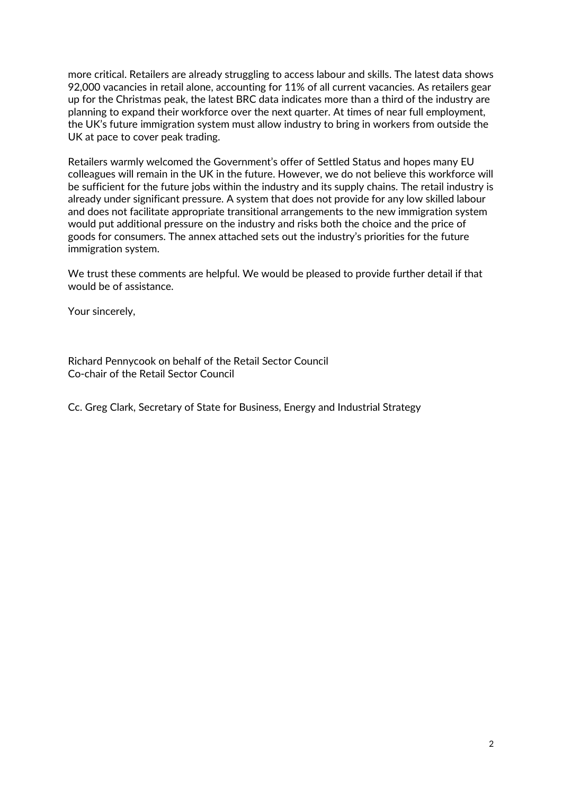more critical. Retailers are already struggling to access labour and skills. The latest data shows 92,000 vacancies in retail alone, accounting for 11% of all current vacancies. As retailers gear up for the Christmas peak, the latest BRC data indicates more than a third of the industry are planning to expand their workforce over the next quarter. At times of near full employment, the UK's future immigration system must allow industry to bring in workers from outside the UK at pace to cover peak trading.

Retailers warmly welcomed the Government's offer of Settled Status and hopes many EU colleagues will remain in the UK in the future. However, we do not believe this workforce will be sufficient for the future jobs within the industry and its supply chains. The retail industry is already under significant pressure. A system that does not provide for any low skilled labour and does not facilitate appropriate transitional arrangements to the new immigration system would put additional pressure on the industry and risks both the choice and the price of goods for consumers. The annex attached sets out the industry's priorities for the future immigration system.

We trust these comments are helpful. We would be pleased to provide further detail if that would be of assistance.

Your sincerely,

Richard Pennycook on behalf of the Retail Sector Council Co-chair of the Retail Sector Council

Cc. Greg Clark, Secretary of State for Business, Energy and Industrial Strategy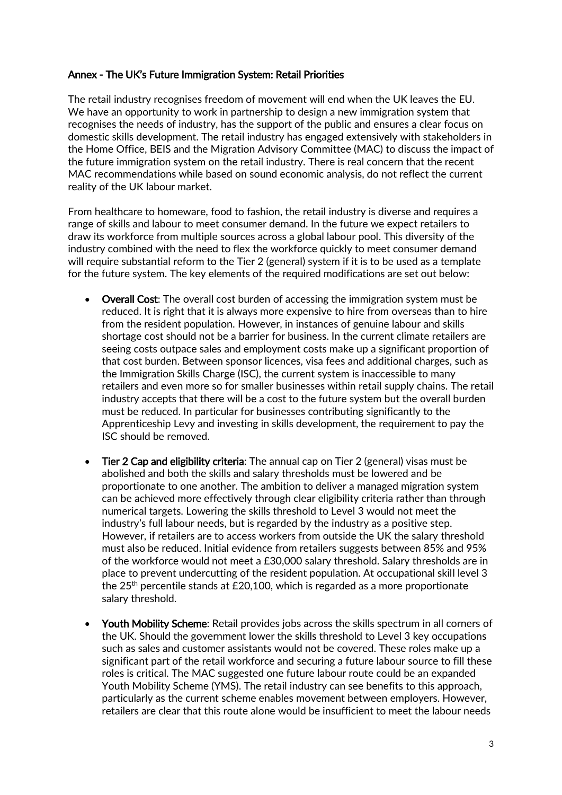## Annex - The UK's Future Immigration System: Retail Priorities

The retail industry recognises freedom of movement will end when the UK leaves the EU. We have an opportunity to work in partnership to design a new immigration system that recognises the needs of industry, has the support of the public and ensures a clear focus on domestic skills development. The retail industry has engaged extensively with stakeholders in the Home Office, BEIS and the Migration Advisory Committee (MAC) to discuss the impact of the future immigration system on the retail industry. There is real concern that the recent MAC recommendations while based on sound economic analysis, do not reflect the current reality of the UK labour market.

From healthcare to homeware, food to fashion, the retail industry is diverse and requires a range of skills and labour to meet consumer demand. In the future we expect retailers to draw its workforce from multiple sources across a global labour pool. This diversity of the industry combined with the need to flex the workforce quickly to meet consumer demand will require substantial reform to the Tier 2 (general) system if it is to be used as a template for the future system. The key elements of the required modifications are set out below:

- Overall Cost: The overall cost burden of accessing the immigration system must be reduced. It is right that it is always more expensive to hire from overseas than to hire from the resident population. However, in instances of genuine labour and skills shortage cost should not be a barrier for business. In the current climate retailers are seeing costs outpace sales and employment costs make up a significant proportion of that cost burden. Between sponsor licences, visa fees and additional charges, such as the Immigration Skills Charge (ISC), the current system is inaccessible to many retailers and even more so for smaller businesses within retail supply chains. The retail industry accepts that there will be a cost to the future system but the overall burden must be reduced. In particular for businesses contributing significantly to the Apprenticeship Levy and investing in skills development, the requirement to pay the ISC should be removed.
- Tier 2 Cap and eligibility criteria: The annual cap on Tier 2 (general) visas must be abolished and both the skills and salary thresholds must be lowered and be proportionate to one another. The ambition to deliver a managed migration system can be achieved more effectively through clear eligibility criteria rather than through numerical targets. Lowering the skills threshold to Level 3 would not meet the industry's full labour needs, but is regarded by the industry as a positive step. However, if retailers are to access workers from outside the UK the salary threshold must also be reduced. Initial evidence from retailers suggests between 85% and 95% of the workforce would not meet a £30,000 salary threshold. Salary thresholds are in place to prevent undercutting of the resident population. At occupational skill level 3 the  $25<sup>th</sup>$  percentile stands at £20,100, which is regarded as a more proportionate salary threshold.
- Youth Mobility Scheme: Retail provides jobs across the skills spectrum in all corners of the UK. Should the government lower the skills threshold to Level 3 key occupations such as sales and customer assistants would not be covered. These roles make up a significant part of the retail workforce and securing a future labour source to fill these roles is critical. The MAC suggested one future labour route could be an expanded Youth Mobility Scheme (YMS). The retail industry can see benefits to this approach, particularly as the current scheme enables movement between employers. However, retailers are clear that this route alone would be insufficient to meet the labour needs